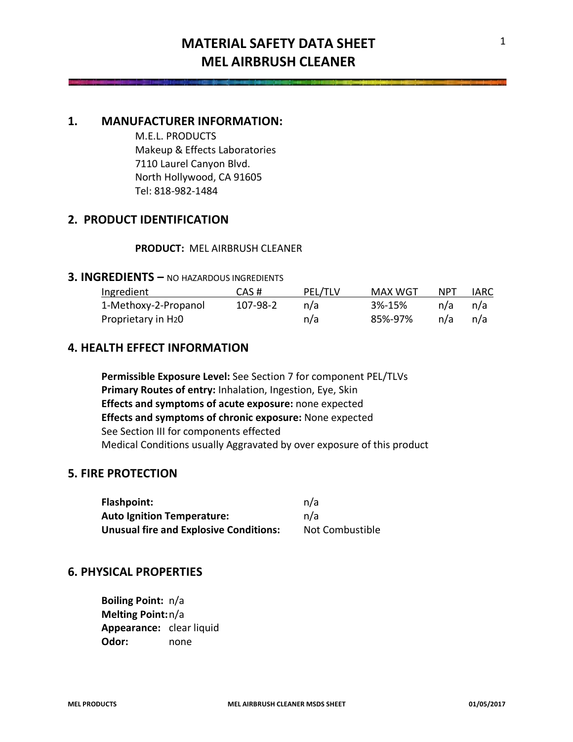# **MATERIAL SAFETY DATA SHEET MEL AIRBRUSH CLEANER**

## **1. MANUFACTURER INFORMATION:**

M.E.L. PRODUCTS Makeup & Effects Laboratories 7110 Laurel Canyon Blvd. North Hollywood, CA 91605 Tel: 818-982-1484

# **2. PRODUCT IDENTIFICATION**

#### **PRODUCT:** MEL AIRBRUSH CLEANER

### **3. INGREDIENTS –** NO HAZARDOUS INGREDIENTS

| Ingredient                      | CAS#     | PEL/TLV | MAX WGT | <b>NPT</b> | IARC |
|---------------------------------|----------|---------|---------|------------|------|
| 1-Methoxy-2-Propanol            | 107-98-2 | n/a     | 3%-15%  | n/a        | n/a  |
| Proprietary in H <sub>2</sub> 0 |          | n/a     | 85%-97% | n/a        | n/a  |

## **4. HEALTH EFFECT INFORMATION**

**Permissible Exposure Level:** See Section 7 for component PEL/TLVs **Primary Routes of entry:** Inhalation, Ingestion, Eye, Skin **Effects and symptoms of acute exposure:** none expected **Effects and symptoms of chronic exposure:** None expected See Section III for components effected Medical Conditions usually Aggravated by over exposure of this product

## **5. FIRE PROTECTION**

| Flashpoint:                                   | n/a             |
|-----------------------------------------------|-----------------|
| <b>Auto Ignition Temperature:</b>             | n/a             |
| <b>Unusual fire and Explosive Conditions:</b> | Not Combustible |

## **6. PHYSICAL PROPERTIES**

**Boiling Point:** n/a **Melting Point:**n/a **Appearance:** clear liquid **Odor:** none